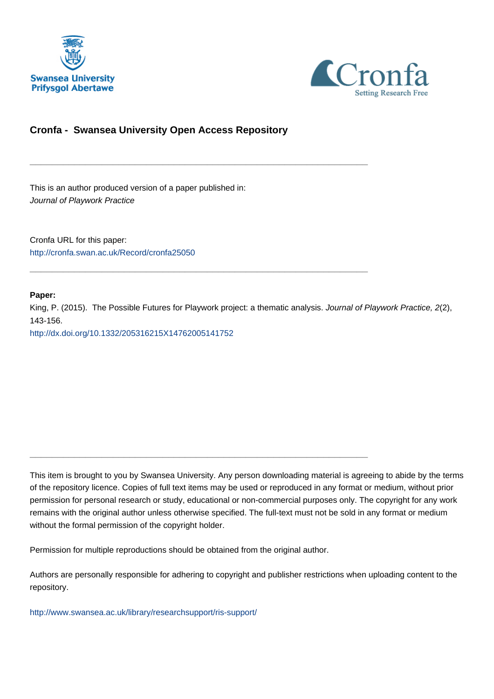



# **Cronfa - Swansea University Open Access Repository**

\_\_\_\_\_\_\_\_\_\_\_\_\_\_\_\_\_\_\_\_\_\_\_\_\_\_\_\_\_\_\_\_\_\_\_\_\_\_\_\_\_\_\_\_\_\_\_\_\_\_\_\_\_\_\_\_\_\_\_\_\_

\_\_\_\_\_\_\_\_\_\_\_\_\_\_\_\_\_\_\_\_\_\_\_\_\_\_\_\_\_\_\_\_\_\_\_\_\_\_\_\_\_\_\_\_\_\_\_\_\_\_\_\_\_\_\_\_\_\_\_\_\_

\_\_\_\_\_\_\_\_\_\_\_\_\_\_\_\_\_\_\_\_\_\_\_\_\_\_\_\_\_\_\_\_\_\_\_\_\_\_\_\_\_\_\_\_\_\_\_\_\_\_\_\_\_\_\_\_\_\_\_\_\_

This is an author produced version of a paper published in: Journal of Playwork Practice

Cronfa URL for this paper: <http://cronfa.swan.ac.uk/Record/cronfa25050>

### **Paper:**

King, P. (2015). The Possible Futures for Playwork project: a thematic analysis. Journal of Playwork Practice, 2(2), 143-156.

<http://dx.doi.org/10.1332/205316215X14762005141752>

This item is brought to you by Swansea University. Any person downloading material is agreeing to abide by the terms of the repository licence. Copies of full text items may be used or reproduced in any format or medium, without prior permission for personal research or study, educational or non-commercial purposes only. The copyright for any work remains with the original author unless otherwise specified. The full-text must not be sold in any format or medium without the formal permission of the copyright holder.

Permission for multiple reproductions should be obtained from the original author.

Authors are personally responsible for adhering to copyright and publisher restrictions when uploading content to the repository.

[http://www.swansea.ac.uk/library/researchsupport/ris-support/](http://www.swansea.ac.uk/library/researchsupport/ris-support/ )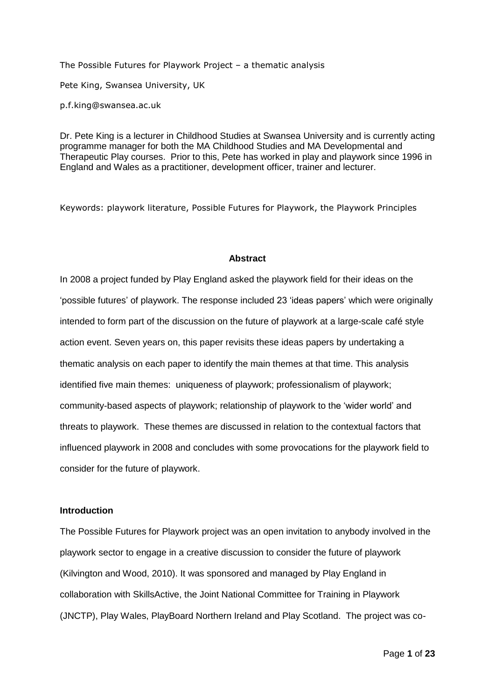The Possible Futures for Playwork Project – a thematic analysis Pete King, Swansea University, UK p.f.king@swansea.ac.uk

Dr. Pete King is a lecturer in Childhood Studies at Swansea University and is currently acting programme manager for both the MA Childhood Studies and MA Developmental and Therapeutic Play courses. Prior to this, Pete has worked in play and playwork since 1996 in England and Wales as a practitioner, development officer, trainer and lecturer.

Keywords: playwork literature, Possible Futures for Playwork, the Playwork Principles

### **Abstract**

In 2008 a project funded by Play England asked the playwork field for their ideas on the 'possible futures' of playwork. The response included 23 'ideas papers' which were originally intended to form part of the discussion on the future of playwork at a large-scale café style action event. Seven years on, this paper revisits these ideas papers by undertaking a thematic analysis on each paper to identify the main themes at that time. This analysis identified five main themes: uniqueness of playwork; professionalism of playwork; community-based aspects of playwork; relationship of playwork to the 'wider world' and threats to playwork. These themes are discussed in relation to the contextual factors that influenced playwork in 2008 and concludes with some provocations for the playwork field to consider for the future of playwork.

## **Introduction**

The Possible Futures for Playwork project was an open invitation to anybody involved in the playwork sector to engage in a creative discussion to consider the future of playwork (Kilvington and Wood, 2010). It was sponsored and managed by Play England in collaboration with SkillsActive, the Joint National Committee for Training in Playwork (JNCTP), Play Wales, PlayBoard Northern Ireland and Play Scotland. The project was co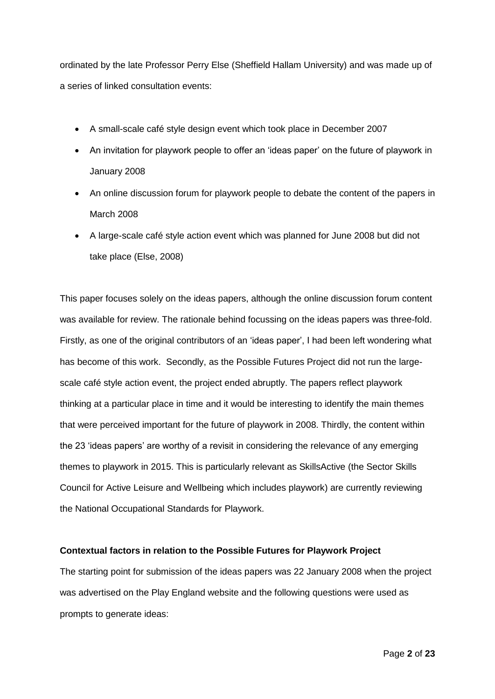ordinated by the late Professor Perry Else (Sheffield Hallam University) and was made up of a series of linked consultation events:

- A small-scale café style design event which took place in December 2007
- An invitation for playwork people to offer an 'ideas paper' on the future of playwork in January 2008
- An online discussion forum for playwork people to debate the content of the papers in March 2008
- A large-scale café style action event which was planned for June 2008 but did not take place (Else, 2008)

This paper focuses solely on the ideas papers, although the online discussion forum content was available for review. The rationale behind focussing on the ideas papers was three-fold. Firstly, as one of the original contributors of an 'ideas paper', I had been left wondering what has become of this work. Secondly, as the Possible Futures Project did not run the largescale café style action event, the project ended abruptly. The papers reflect playwork thinking at a particular place in time and it would be interesting to identify the main themes that were perceived important for the future of playwork in 2008. Thirdly, the content within the 23 'ideas papers' are worthy of a revisit in considering the relevance of any emerging themes to playwork in 2015. This is particularly relevant as SkillsActive (the Sector Skills Council for Active Leisure and Wellbeing which includes playwork) are currently reviewing the National Occupational Standards for Playwork.

## **Contextual factors in relation to the Possible Futures for Playwork Project**

The starting point for submission of the ideas papers was 22 January 2008 when the project was advertised on the Play England website and the following questions were used as prompts to generate ideas: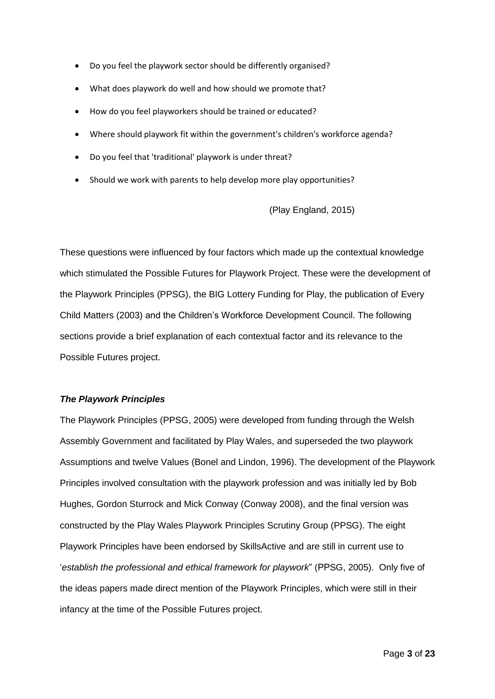- Do you feel the playwork sector should be differently organised?
- What does playwork do well and how should we promote that?
- How do you feel playworkers should be trained or educated?
- Where should playwork fit within the government's children's workforce agenda?
- Do you feel that 'traditional' playwork is under threat?
- Should we work with parents to help develop more play opportunities?

(Play England, 2015)

These questions were influenced by four factors which made up the contextual knowledge which stimulated the Possible Futures for Playwork Project. These were the development of the Playwork Principles (PPSG), the BIG Lottery Funding for Play, the publication of Every Child Matters (2003) and the Children's Workforce Development Council. The following sections provide a brief explanation of each contextual factor and its relevance to the Possible Futures project.

## *The Playwork Principles*

The Playwork Principles (PPSG, 2005) were developed from funding through the Welsh Assembly Government and facilitated by Play Wales, and superseded the two playwork Assumptions and twelve Values (Bonel and Lindon, 1996). The development of the Playwork Principles involved consultation with the playwork profession and was initially led by Bob Hughes, Gordon Sturrock and Mick Conway (Conway 2008), and the final version was constructed by the Play Wales Playwork Principles Scrutiny Group (PPSG). The eight Playwork Principles have been endorsed by SkillsActive and are still in current use to '*establish the professional and ethical framework for playwork*" (PPSG, 2005). Only five of the ideas papers made direct mention of the Playwork Principles, which were still in their infancy at the time of the Possible Futures project.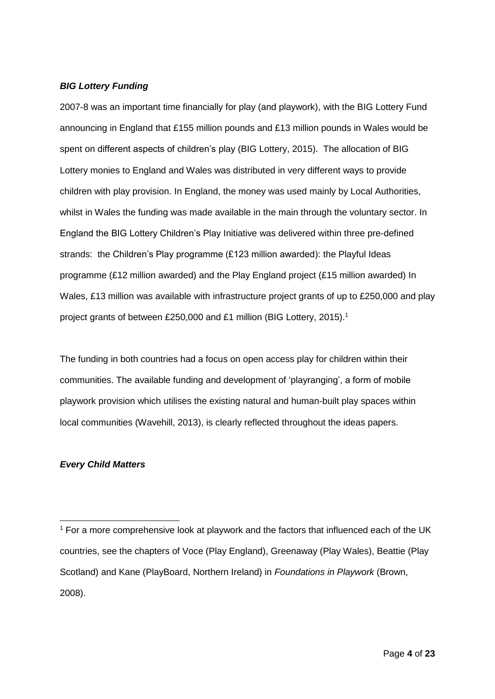## *BIG Lottery Funding*

2007-8 was an important time financially for play (and playwork), with the BIG Lottery Fund announcing in England that £155 million pounds and £13 million pounds in Wales would be spent on different aspects of children's play (BIG Lottery, 2015). The allocation of BIG Lottery monies to England and Wales was distributed in very different ways to provide children with play provision. In England, the money was used mainly by Local Authorities, whilst in Wales the funding was made available in the main through the voluntary sector. In England the BIG Lottery Children's Play Initiative was delivered within three pre-defined strands: the Children's Play programme (£123 million awarded): the Playful Ideas programme (£12 million awarded) and the Play England project (£15 million awarded) In Wales, £13 million was available with infrastructure project grants of up to £250,000 and play project grants of between £250,000 and £1 million (BIG Lottery, 2015).<sup>1</sup>

The funding in both countries had a focus on open access play for children within their communities. The available funding and development of 'playranging', a form of mobile playwork provision which utilises the existing natural and human-built play spaces within local communities (Wavehill, 2013), is clearly reflected throughout the ideas papers.

## *Every Child Matters*

-

<sup>&</sup>lt;sup>1</sup> For a more comprehensive look at playwork and the factors that influenced each of the UK countries, see the chapters of Voce (Play England), Greenaway (Play Wales), Beattie (Play Scotland) and Kane (PlayBoard, Northern Ireland) in *Foundations in Playwork* (Brown, 2008).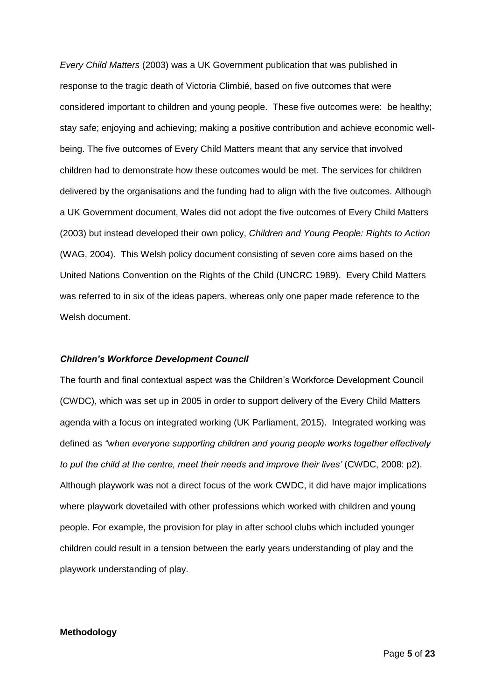*Every Child Matters* (2003) was a UK Government publication that was published in response to the tragic death of Victoria Climbié, based on five outcomes that were considered important to children and young people. These five outcomes were: be healthy; stay safe; enjoying and achieving; making a positive contribution and achieve economic wellbeing. The five outcomes of Every Child Matters meant that any service that involved children had to demonstrate how these outcomes would be met. The services for children delivered by the organisations and the funding had to align with the five outcomes. Although a UK Government document, Wales did not adopt the five outcomes of Every Child Matters (2003) but instead developed their own policy, *Children and Young People: Rights to Action* (WAG, 2004). This Welsh policy document consisting of seven core aims based on the United Nations Convention on the Rights of the Child (UNCRC 1989). Every Child Matters was referred to in six of the ideas papers, whereas only one paper made reference to the Welsh document.

### *Children's Workforce Development Council*

The fourth and final contextual aspect was the Children's Workforce Development Council (CWDC), which was set up in 2005 in order to support delivery of the Every Child Matters agenda with a focus on integrated working (UK Parliament, 2015). Integrated working was defined as *"when everyone supporting children and young people works together effectively to put the child at the centre, meet their needs and improve their lives'* (CWDC, 2008: p2). Although playwork was not a direct focus of the work CWDC, it did have major implications where playwork dovetailed with other professions which worked with children and young people. For example, the provision for play in after school clubs which included younger children could result in a tension between the early years understanding of play and the playwork understanding of play.

### **Methodology**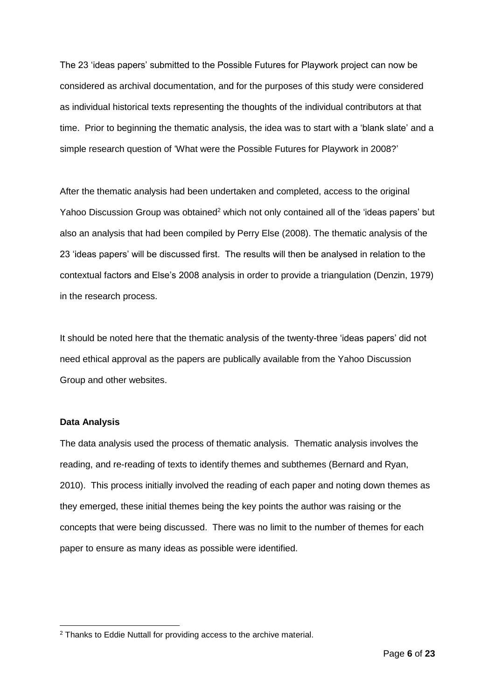The 23 'ideas papers' submitted to the Possible Futures for Playwork project can now be considered as archival documentation, and for the purposes of this study were considered as individual historical texts representing the thoughts of the individual contributors at that time. Prior to beginning the thematic analysis, the idea was to start with a 'blank slate' and a simple research question of 'What were the Possible Futures for Playwork in 2008?'

After the thematic analysis had been undertaken and completed, access to the original Yahoo Discussion Group was obtained<sup>2</sup> which not only contained all of the 'ideas papers' but also an analysis that had been compiled by Perry Else (2008). The thematic analysis of the 23 'ideas papers' will be discussed first. The results will then be analysed in relation to the contextual factors and Else's 2008 analysis in order to provide a triangulation (Denzin, 1979) in the research process.

It should be noted here that the thematic analysis of the twenty-three 'ideas papers' did not need ethical approval as the papers are publically available from the Yahoo Discussion Group and other websites.

## **Data Analysis**

-

The data analysis used the process of thematic analysis. Thematic analysis involves the reading, and re-reading of texts to identify themes and subthemes (Bernard and Ryan, 2010). This process initially involved the reading of each paper and noting down themes as they emerged, these initial themes being the key points the author was raising or the concepts that were being discussed. There was no limit to the number of themes for each paper to ensure as many ideas as possible were identified.

<sup>2</sup> Thanks to Eddie Nuttall for providing access to the archive material.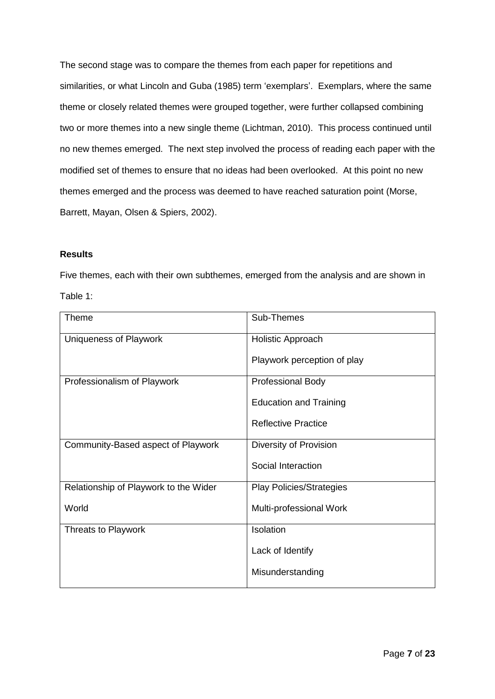The second stage was to compare the themes from each paper for repetitions and similarities, or what Lincoln and Guba (1985) term 'exemplars'. Exemplars, where the same theme or closely related themes were grouped together, were further collapsed combining two or more themes into a new single theme (Lichtman, 2010). This process continued until no new themes emerged. The next step involved the process of reading each paper with the modified set of themes to ensure that no ideas had been overlooked. At this point no new themes emerged and the process was deemed to have reached saturation point (Morse, Barrett, Mayan, Olsen & Spiers, 2002).

## **Results**

Five themes, each with their own subthemes, emerged from the analysis and are shown in Table 1:

| <b>Theme</b>                          | Sub-Themes                      |
|---------------------------------------|---------------------------------|
| Uniqueness of Playwork                | <b>Holistic Approach</b>        |
|                                       | Playwork perception of play     |
| Professionalism of Playwork           | <b>Professional Body</b>        |
|                                       | <b>Education and Training</b>   |
|                                       | <b>Reflective Practice</b>      |
| Community-Based aspect of Playwork    | Diversity of Provision          |
|                                       | Social Interaction              |
| Relationship of Playwork to the Wider | <b>Play Policies/Strategies</b> |
| World                                 | Multi-professional Work         |
| Threats to Playwork                   | Isolation                       |
|                                       | Lack of Identify                |
|                                       | Misunderstanding                |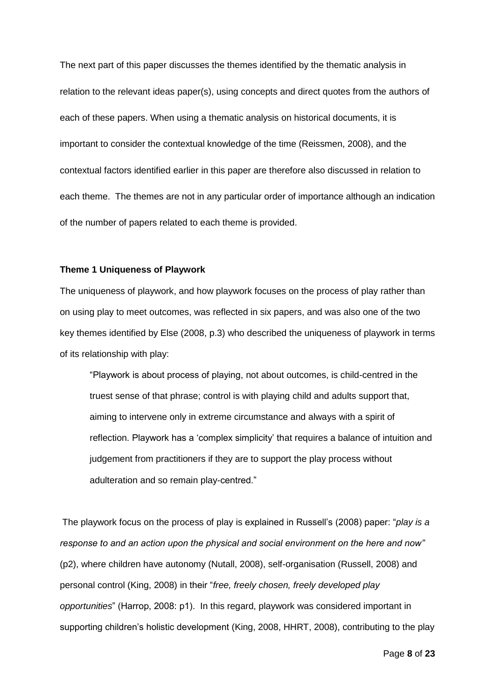The next part of this paper discusses the themes identified by the thematic analysis in relation to the relevant ideas paper(s), using concepts and direct quotes from the authors of each of these papers. When using a thematic analysis on historical documents, it is important to consider the contextual knowledge of the time (Reissmen, 2008), and the contextual factors identified earlier in this paper are therefore also discussed in relation to each theme. The themes are not in any particular order of importance although an indication of the number of papers related to each theme is provided.

#### **Theme 1 Uniqueness of Playwork**

The uniqueness of playwork, and how playwork focuses on the process of play rather than on using play to meet outcomes, was reflected in six papers, and was also one of the two key themes identified by Else (2008, p.3) who described the uniqueness of playwork in terms of its relationship with play:

"Playwork is about process of playing, not about outcomes, is child-centred in the truest sense of that phrase; control is with playing child and adults support that, aiming to intervene only in extreme circumstance and always with a spirit of reflection. Playwork has a 'complex simplicity' that requires a balance of intuition and judgement from practitioners if they are to support the play process without adulteration and so remain play-centred."

The playwork focus on the process of play is explained in Russell's (2008) paper: "*play is a response to and an action upon the physical and social environment on the here and now"*  (p2), where children have autonomy (Nutall, 2008), self-organisation (Russell, 2008) and personal control (King, 2008) in their "*free, freely chosen, freely developed play opportunities*" (Harrop, 2008: p1). In this regard, playwork was considered important in supporting children's holistic development (King, 2008, HHRT, 2008), contributing to the play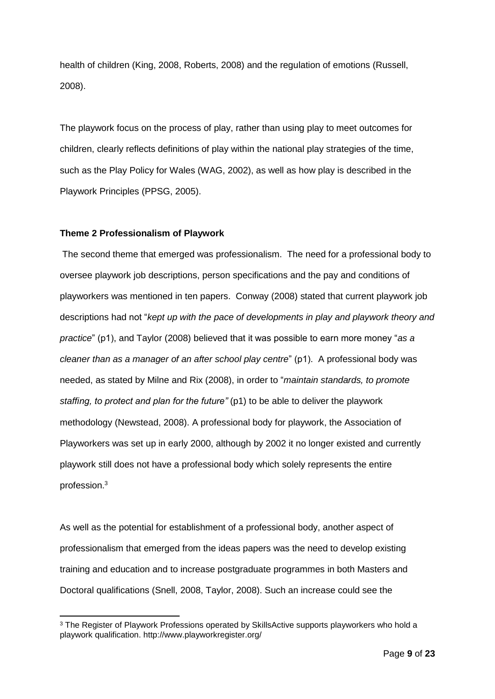health of children (King, 2008, Roberts, 2008) and the regulation of emotions (Russell, 2008).

The playwork focus on the process of play, rather than using play to meet outcomes for children, clearly reflects definitions of play within the national play strategies of the time, such as the Play Policy for Wales (WAG, 2002), as well as how play is described in the Playwork Principles (PPSG, 2005).

## **Theme 2 Professionalism of Playwork**

-

The second theme that emerged was professionalism. The need for a professional body to oversee playwork job descriptions, person specifications and the pay and conditions of playworkers was mentioned in ten papers. Conway (2008) stated that current playwork job descriptions had not "*kept up with the pace of developments in play and playwork theory and practice*" (p1), and Taylor (2008) believed that it was possible to earn more money "*as a cleaner than as a manager of an after school play centre*" (p1). A professional body was needed, as stated by Milne and Rix (2008), in order to "*maintain standards, to promote staffing, to protect and plan for the future"* (p1) to be able to deliver the playwork methodology (Newstead, 2008). A professional body for playwork, the Association of Playworkers was set up in early 2000, although by 2002 it no longer existed and currently playwork still does not have a professional body which solely represents the entire profession. 3

As well as the potential for establishment of a professional body, another aspect of professionalism that emerged from the ideas papers was the need to develop existing training and education and to increase postgraduate programmes in both Masters and Doctoral qualifications (Snell, 2008, Taylor, 2008). Such an increase could see the

<sup>&</sup>lt;sup>3</sup> The Register of Playwork Professions operated by SkillsActive supports playworkers who hold a playwork qualification. http://www.playworkregister.org/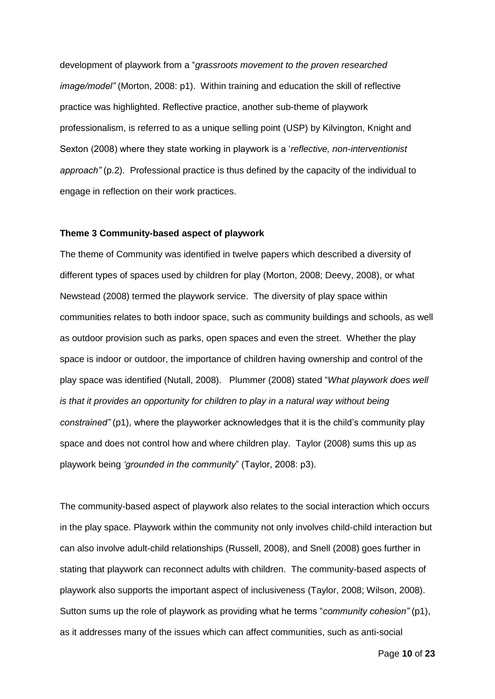development of playwork from a "*grassroots movement to the proven researched image/model"* (Morton, 2008: p1). Within training and education the skill of reflective practice was highlighted. Reflective practice, another sub-theme of playwork professionalism, is referred to as a unique selling point (USP) by Kilvington, Knight and Sexton (2008) where they state working in playwork is a '*reflective, non-interventionist approach"* (p.2). Professional practice is thus defined by the capacity of the individual to engage in reflection on their work practices.

## **Theme 3 Community-based aspect of playwork**

The theme of Community was identified in twelve papers which described a diversity of different types of spaces used by children for play (Morton, 2008; Deevy, 2008), or what Newstead (2008) termed the playwork service. The diversity of play space within communities relates to both indoor space, such as community buildings and schools, as well as outdoor provision such as parks, open spaces and even the street. Whether the play space is indoor or outdoor, the importance of children having ownership and control of the play space was identified (Nutall, 2008). Plummer (2008) stated "*What playwork does well is that it provides an opportunity for children to play in a natural way without being constrained"* (p1), where the playworker acknowledges that it is the child's community play space and does not control how and where children play. Taylor (2008) sums this up as playwork being *'grounded in the community*" (Taylor, 2008: p3).

The community-based aspect of playwork also relates to the social interaction which occurs in the play space. Playwork within the community not only involves child-child interaction but can also involve adult-child relationships (Russell, 2008), and Snell (2008) goes further in stating that playwork can reconnect adults with children. The community-based aspects of playwork also supports the important aspect of inclusiveness (Taylor, 2008; Wilson, 2008). Sutton sums up the role of playwork as providing what he terms "*community cohesion"* (p1), as it addresses many of the issues which can affect communities, such as anti-social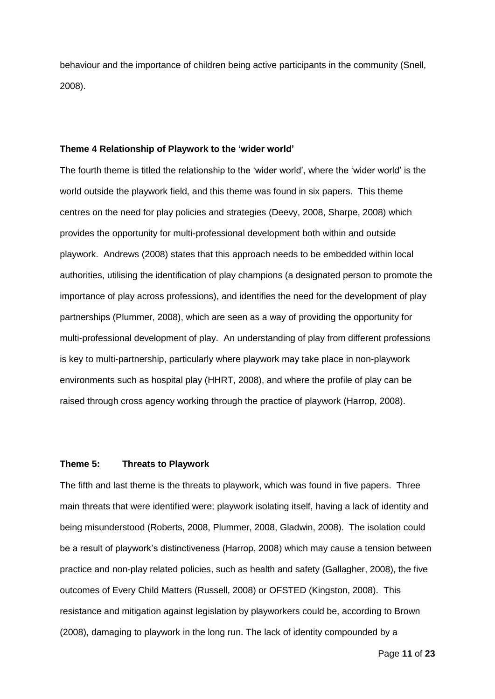behaviour and the importance of children being active participants in the community (Snell, 2008).

### **Theme 4 Relationship of Playwork to the 'wider world'**

The fourth theme is titled the relationship to the 'wider world', where the 'wider world' is the world outside the playwork field, and this theme was found in six papers. This theme centres on the need for play policies and strategies (Deevy, 2008, Sharpe, 2008) which provides the opportunity for multi-professional development both within and outside playwork. Andrews (2008) states that this approach needs to be embedded within local authorities, utilising the identification of play champions (a designated person to promote the importance of play across professions), and identifies the need for the development of play partnerships (Plummer, 2008), which are seen as a way of providing the opportunity for multi-professional development of play. An understanding of play from different professions is key to multi-partnership, particularly where playwork may take place in non-playwork environments such as hospital play (HHRT, 2008), and where the profile of play can be raised through cross agency working through the practice of playwork (Harrop, 2008).

### **Theme 5: Threats to Playwork**

The fifth and last theme is the threats to playwork, which was found in five papers. Three main threats that were identified were; playwork isolating itself, having a lack of identity and being misunderstood (Roberts, 2008, Plummer, 2008, Gladwin, 2008). The isolation could be a result of playwork's distinctiveness (Harrop, 2008) which may cause a tension between practice and non-play related policies, such as health and safety (Gallagher, 2008), the five outcomes of Every Child Matters (Russell, 2008) or OFSTED (Kingston, 2008). This resistance and mitigation against legislation by playworkers could be, according to Brown (2008), damaging to playwork in the long run. The lack of identity compounded by a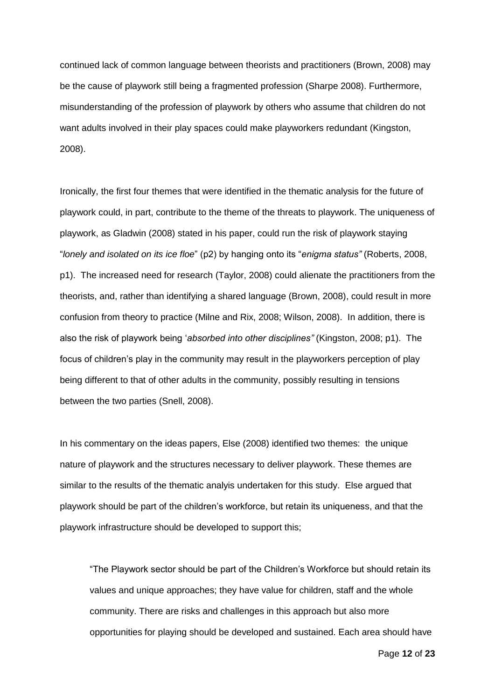continued lack of common language between theorists and practitioners (Brown, 2008) may be the cause of playwork still being a fragmented profession (Sharpe 2008). Furthermore, misunderstanding of the profession of playwork by others who assume that children do not want adults involved in their play spaces could make playworkers redundant (Kingston, 2008).

Ironically, the first four themes that were identified in the thematic analysis for the future of playwork could, in part, contribute to the theme of the threats to playwork. The uniqueness of playwork, as Gladwin (2008) stated in his paper, could run the risk of playwork staying "*lonely and isolated on its ice floe*" (p2) by hanging onto its "*enigma status"* (Roberts, 2008, p1). The increased need for research (Taylor, 2008) could alienate the practitioners from the theorists, and, rather than identifying a shared language (Brown, 2008), could result in more confusion from theory to practice (Milne and Rix, 2008; Wilson, 2008). In addition, there is also the risk of playwork being '*absorbed into other disciplines"* (Kingston, 2008; p1). The focus of children's play in the community may result in the playworkers perception of play being different to that of other adults in the community, possibly resulting in tensions between the two parties (Snell, 2008).

In his commentary on the ideas papers, Else (2008) identified two themes: the unique nature of playwork and the structures necessary to deliver playwork. These themes are similar to the results of the thematic analyis undertaken for this study. Else argued that playwork should be part of the children's workforce, but retain its uniqueness, and that the playwork infrastructure should be developed to support this;

"The Playwork sector should be part of the Children's Workforce but should retain its values and unique approaches; they have value for children, staff and the whole community. There are risks and challenges in this approach but also more opportunities for playing should be developed and sustained. Each area should have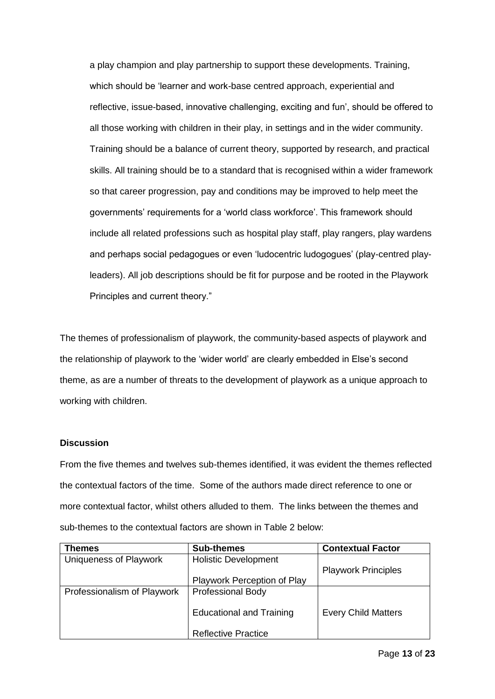a play champion and play partnership to support these developments. Training, which should be 'learner and work-base centred approach, experiential and reflective, issue-based, innovative challenging, exciting and fun', should be offered to all those working with children in their play, in settings and in the wider community. Training should be a balance of current theory, supported by research, and practical skills. All training should be to a standard that is recognised within a wider framework so that career progression, pay and conditions may be improved to help meet the governments' requirements for a 'world class workforce'. This framework should include all related professions such as hospital play staff, play rangers, play wardens and perhaps social pedagogues or even 'ludocentric ludogogues' (play-centred playleaders). All job descriptions should be fit for purpose and be rooted in the Playwork Principles and current theory."

The themes of professionalism of playwork, the community-based aspects of playwork and the relationship of playwork to the 'wider world' are clearly embedded in Else's second theme, as are a number of threats to the development of playwork as a unique approach to working with children.

## **Discussion**

From the five themes and twelves sub-themes identified, it was evident the themes reflected the contextual factors of the time. Some of the authors made direct reference to one or more contextual factor, whilst others alluded to them. The links between the themes and sub-themes to the contextual factors are shown in Table 2 below:

| <b>Themes</b>                 | <b>Sub-themes</b>               | <b>Contextual Factor</b>   |
|-------------------------------|---------------------------------|----------------------------|
| <b>Uniqueness of Playwork</b> | <b>Holistic Development</b>     |                            |
|                               |                                 | <b>Playwork Principles</b> |
|                               | Playwork Perception of Play     |                            |
| Professionalism of Playwork   | <b>Professional Body</b>        |                            |
|                               | <b>Educational and Training</b> | <b>Every Child Matters</b> |
|                               |                                 |                            |
|                               | <b>Reflective Practice</b>      |                            |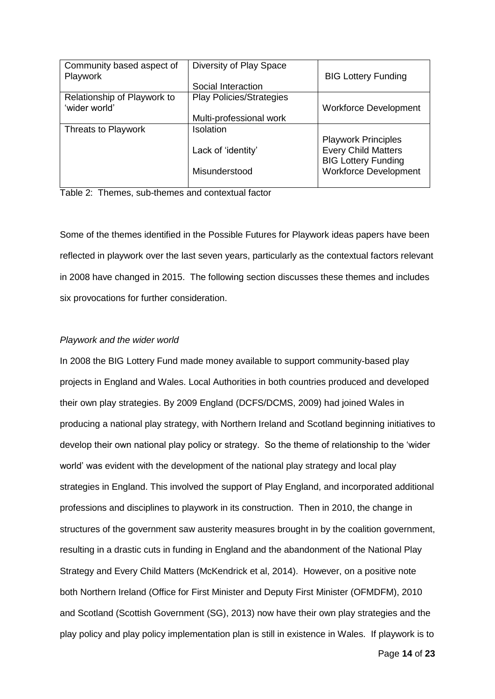| Community based aspect of   | Diversity of Play Space         |                                                                                        |
|-----------------------------|---------------------------------|----------------------------------------------------------------------------------------|
| Playwork                    |                                 | <b>BIG Lottery Funding</b>                                                             |
|                             | Social Interaction              |                                                                                        |
| Relationship of Playwork to | <b>Play Policies/Strategies</b> |                                                                                        |
| 'wider world'               |                                 | <b>Workforce Development</b>                                                           |
|                             | Multi-professional work         |                                                                                        |
| Threats to Playwork         | <b>Isolation</b>                |                                                                                        |
|                             | Lack of 'identity'              | <b>Playwork Principles</b><br><b>Every Child Matters</b><br><b>BIG Lottery Funding</b> |
|                             | Misunderstood                   | <b>Workforce Development</b>                                                           |
|                             |                                 |                                                                                        |

Table 2: Themes, sub-themes and contextual factor

Some of the themes identified in the Possible Futures for Playwork ideas papers have been reflected in playwork over the last seven years, particularly as the contextual factors relevant in 2008 have changed in 2015. The following section discusses these themes and includes six provocations for further consideration.

## *Playwork and the wider world*

In 2008 the BIG Lottery Fund made money available to support community-based play projects in England and Wales. Local Authorities in both countries produced and developed their own play strategies. By 2009 England (DCFS/DCMS, 2009) had joined Wales in producing a national play strategy, with Northern Ireland and Scotland beginning initiatives to develop their own national play policy or strategy. So the theme of relationship to the 'wider world' was evident with the development of the national play strategy and local play strategies in England. This involved the support of Play England, and incorporated additional professions and disciplines to playwork in its construction. Then in 2010, the change in structures of the government saw austerity measures brought in by the coalition government, resulting in a drastic cuts in funding in England and the abandonment of the National Play Strategy and Every Child Matters (McKendrick et al, 2014). However, on a positive note both Northern Ireland (Office for First Minister and Deputy First Minister (OFMDFM), 2010 and Scotland (Scottish Government (SG), 2013) now have their own play strategies and the play policy and play policy implementation plan is still in existence in Wales. If playwork is to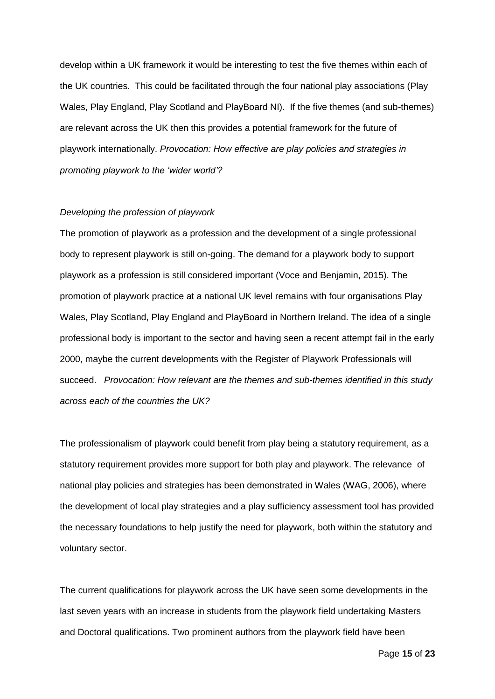develop within a UK framework it would be interesting to test the five themes within each of the UK countries. This could be facilitated through the four national play associations (Play Wales, Play England, Play Scotland and PlayBoard NI). If the five themes (and sub-themes) are relevant across the UK then this provides a potential framework for the future of playwork internationally. *Provocation: How effective are play policies and strategies in promoting playwork to the 'wider world'?*

#### *Developing the profession of playwork*

The promotion of playwork as a profession and the development of a single professional body to represent playwork is still on-going. The demand for a playwork body to support playwork as a profession is still considered important (Voce and Benjamin, 2015). The promotion of playwork practice at a national UK level remains with four organisations Play Wales, Play Scotland, Play England and PlayBoard in Northern Ireland. The idea of a single professional body is important to the sector and having seen a recent attempt fail in the early 2000, maybe the current developments with the Register of Playwork Professionals will succeed. *Provocation: How relevant are the themes and sub-themes identified in this study across each of the countries the UK?*

The professionalism of playwork could benefit from play being a statutory requirement, as a statutory requirement provides more support for both play and playwork. The relevance of national play policies and strategies has been demonstrated in Wales (WAG, 2006), where the development of local play strategies and a play sufficiency assessment tool has provided the necessary foundations to help justify the need for playwork, both within the statutory and voluntary sector.

The current qualifications for playwork across the UK have seen some developments in the last seven years with an increase in students from the playwork field undertaking Masters and Doctoral qualifications. Two prominent authors from the playwork field have been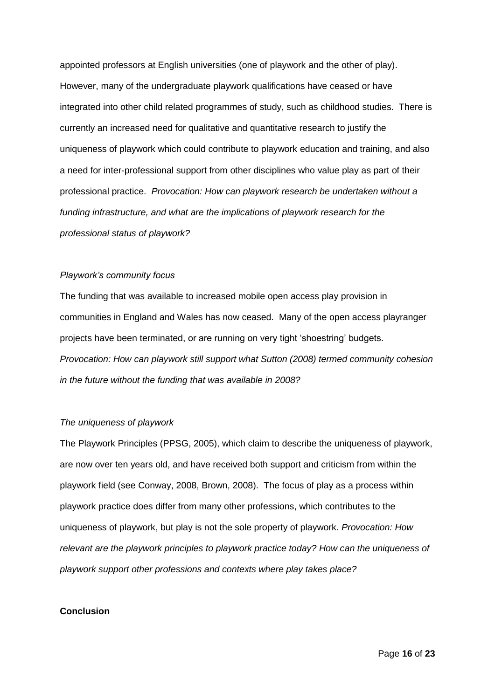appointed professors at English universities (one of playwork and the other of play). However, many of the undergraduate playwork qualifications have ceased or have integrated into other child related programmes of study, such as childhood studies. There is currently an increased need for qualitative and quantitative research to justify the uniqueness of playwork which could contribute to playwork education and training, and also a need for inter-professional support from other disciplines who value play as part of their professional practice. *Provocation: How can playwork research be undertaken without a funding infrastructure, and what are the implications of playwork research for the professional status of playwork?*

#### *Playwork's community focus*

The funding that was available to increased mobile open access play provision in communities in England and Wales has now ceased. Many of the open access playranger projects have been terminated, or are running on very tight 'shoestring' budgets. *Provocation: How can playwork still support what Sutton (2008) termed community cohesion in the future without the funding that was available in 2008?*

## *The uniqueness of playwork*

The Playwork Principles (PPSG, 2005), which claim to describe the uniqueness of playwork, are now over ten years old, and have received both support and criticism from within the playwork field (see Conway, 2008, Brown, 2008). The focus of play as a process within playwork practice does differ from many other professions, which contributes to the uniqueness of playwork, but play is not the sole property of playwork. *Provocation: How relevant are the playwork principles to playwork practice today? How can the uniqueness of playwork support other professions and contexts where play takes place?* 

### **Conclusion**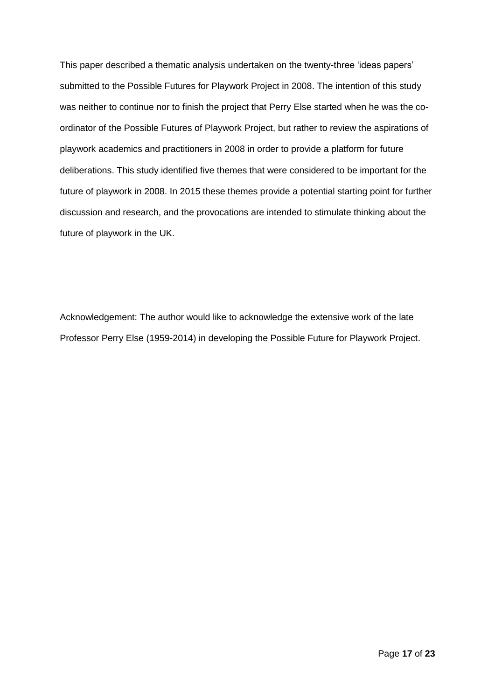This paper described a thematic analysis undertaken on the twenty-three 'ideas papers' submitted to the Possible Futures for Playwork Project in 2008. The intention of this study was neither to continue nor to finish the project that Perry Else started when he was the coordinator of the Possible Futures of Playwork Project, but rather to review the aspirations of playwork academics and practitioners in 2008 in order to provide a platform for future deliberations. This study identified five themes that were considered to be important for the future of playwork in 2008. In 2015 these themes provide a potential starting point for further discussion and research, and the provocations are intended to stimulate thinking about the future of playwork in the UK.

Acknowledgement: The author would like to acknowledge the extensive work of the late Professor Perry Else (1959-2014) in developing the Possible Future for Playwork Project.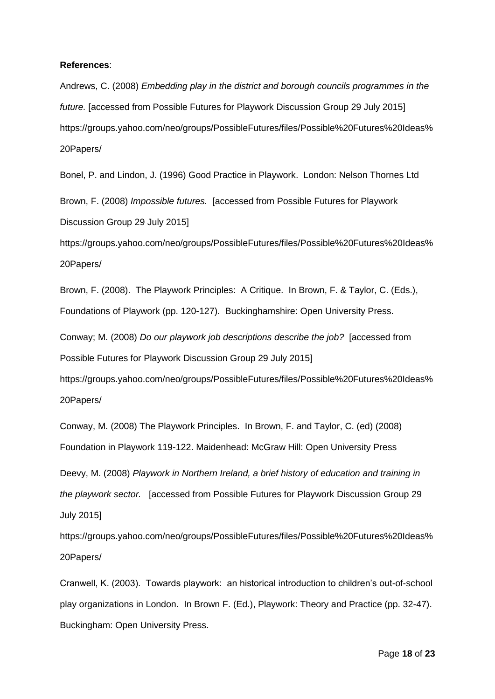#### **References**:

Andrews, C. (2008) *Embedding play in the district and borough councils programmes in the future.* [accessed from Possible Futures for Playwork Discussion Group 29 July 2015] https://groups.yahoo.com/neo/groups/PossibleFutures/files/Possible%20Futures%20Ideas% 20Papers/

Bonel, P. and Lindon, J. (1996) Good Practice in Playwork. London: Nelson Thornes Ltd Brown, F. (2008) *Impossible futures.* [accessed from Possible Futures for Playwork Discussion Group 29 July 2015]

https://groups.yahoo.com/neo/groups/PossibleFutures/files/Possible%20Futures%20Ideas% 20Papers/

Brown, F. (2008). The Playwork Principles: A Critique. In Brown, F. & Taylor, C. (Eds.), Foundations of Playwork (pp. 120-127). Buckinghamshire: Open University Press.

Conway; M. (2008) *Do our playwork job descriptions describe the job?* [accessed from Possible Futures for Playwork Discussion Group 29 July 2015]

https://groups.yahoo.com/neo/groups/PossibleFutures/files/Possible%20Futures%20Ideas% 20Papers/

Conway, M. (2008) The Playwork Principles. In Brown, F. and Taylor, C. (ed) (2008) Foundation in Playwork 119-122. Maidenhead: McGraw Hill: Open University Press

Deevy, M. (2008) *Playwork in Northern Ireland, a brief history of education and training in the playwork sector.* [accessed from Possible Futures for Playwork Discussion Group 29 July 2015]

https://groups.yahoo.com/neo/groups/PossibleFutures/files/Possible%20Futures%20Ideas% 20Papers/

Cranwell, K. (2003). Towards playwork: an historical introduction to children's out-of-school play organizations in London. In Brown F. (Ed.), Playwork: Theory and Practice (pp. 32-47). Buckingham: Open University Press.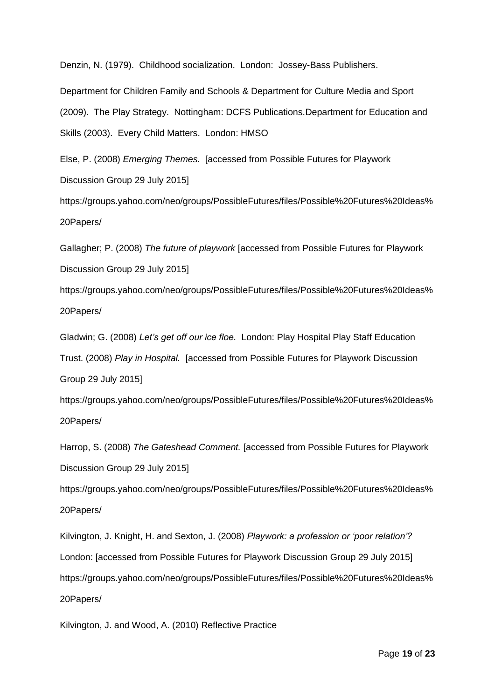Denzin, N. (1979). Childhood socialization. London: Jossey-Bass Publishers.

Department for Children Family and Schools & Department for Culture Media and Sport (2009). The Play Strategy. Nottingham: DCFS Publications.Department for Education and Skills (2003). Every Child Matters. London: HMSO

Else, P. (2008) *Emerging Themes.* [accessed from Possible Futures for Playwork Discussion Group 29 July 2015]

https://groups.yahoo.com/neo/groups/PossibleFutures/files/Possible%20Futures%20Ideas% 20Papers/

Gallagher; P. (2008) *The future of playwork* [accessed from Possible Futures for Playwork Discussion Group 29 July 2015]

https://groups.yahoo.com/neo/groups/PossibleFutures/files/Possible%20Futures%20Ideas% 20Papers/

Gladwin; G. (2008) *Let's get off our ice floe.* London: Play Hospital Play Staff Education Trust. (2008) *Play in Hospital.* [accessed from Possible Futures for Playwork Discussion Group 29 July 2015]

https://groups.yahoo.com/neo/groups/PossibleFutures/files/Possible%20Futures%20Ideas% 20Papers/

Harrop, S. (2008) *The Gateshead Comment.* [accessed from Possible Futures for Playwork Discussion Group 29 July 2015]

https://groups.yahoo.com/neo/groups/PossibleFutures/files/Possible%20Futures%20Ideas% 20Papers/

Kilvington, J. Knight, H. and Sexton, J. (2008) *Playwork: a profession or 'poor relation'?*  London: [accessed from Possible Futures for Playwork Discussion Group 29 July 2015] https://groups.yahoo.com/neo/groups/PossibleFutures/files/Possible%20Futures%20Ideas% 20Papers/

Kilvington, J. and Wood, A. (2010) Reflective Practice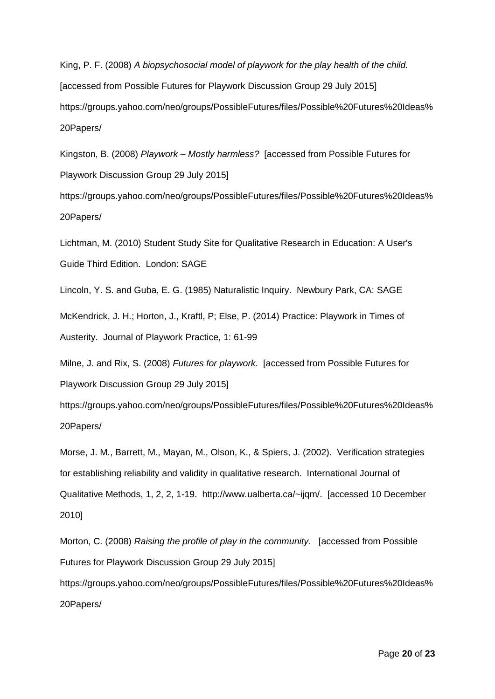King, P. F. (2008) *A biopsychosocial model of playwork for the play health of the child.*  [accessed from Possible Futures for Playwork Discussion Group 29 July 2015] https://groups.yahoo.com/neo/groups/PossibleFutures/files/Possible%20Futures%20Ideas% 20Papers/

Kingston, B. (2008) *Playwork – Mostly harmless?* [accessed from Possible Futures for Playwork Discussion Group 29 July 2015]

https://groups.yahoo.com/neo/groups/PossibleFutures/files/Possible%20Futures%20Ideas% 20Papers/

Lichtman, M. (2010) Student Study Site for Qualitative Research in Education: A User's Guide Third Edition. London: SAGE

Lincoln, Y. S. and Guba, E. G. (1985) Naturalistic Inquiry. Newbury Park, CA: SAGE

McKendrick, J. H.; Horton, J., Kraftl, P; Else, P. (2014) Practice: Playwork in Times of Austerity. Journal of Playwork Practice, 1: 61-99

Milne, J. and Rix, S. (2008) *Futures for playwork.* [accessed from Possible Futures for Playwork Discussion Group 29 July 2015]

https://groups.yahoo.com/neo/groups/PossibleFutures/files/Possible%20Futures%20Ideas% 20Papers/

Morse, J. M., Barrett, M., Mayan, M., Olson, K., & Spiers, J. (2002). Verification strategies for establishing reliability and validity in qualitative research. International Journal of Qualitative Methods, 1, 2, 2, 1-19. http://www.ualberta.ca/~ijqm/. [accessed 10 December 2010]

Morton, C. (2008) *Raising the profile of play in the community.* [accessed from Possible Futures for Playwork Discussion Group 29 July 2015] https://groups.yahoo.com/neo/groups/PossibleFutures/files/Possible%20Futures%20Ideas% 20Papers/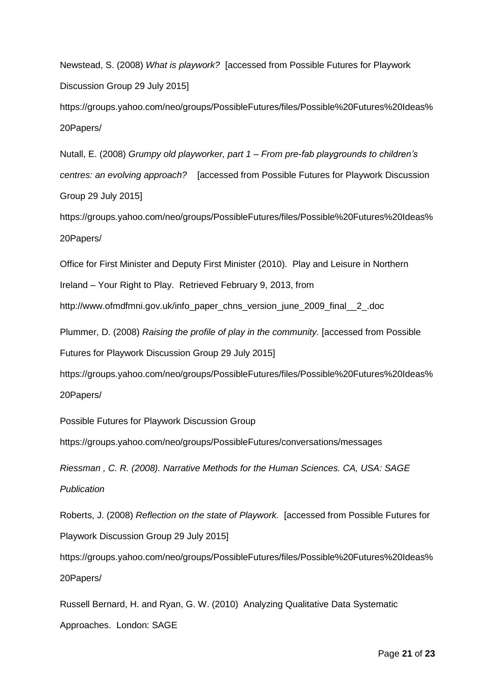Newstead, S. (2008) *What is playwork?* [accessed from Possible Futures for Playwork Discussion Group 29 July 2015] https://groups.yahoo.com/neo/groups/PossibleFutures/files/Possible%20Futures%20Ideas%

20Papers/

Nutall, E. (2008) *Grumpy old playworker, part 1 – From pre-fab playgrounds to children's centres: an evolving approach?* [accessed from Possible Futures for Playwork Discussion Group 29 July 2015]

https://groups.yahoo.com/neo/groups/PossibleFutures/files/Possible%20Futures%20Ideas% 20Papers/

Office for First Minister and Deputy First Minister (2010). Play and Leisure in Northern Ireland – Your Right to Play. Retrieved February 9, 2013, from

http://www.ofmdfmni.gov.uk/info\_paper\_chns\_version\_june\_2009\_final\_\_2\_.doc

Plummer, D. (2008) *Raising the profile of play in the community.* [accessed from Possible Futures for Playwork Discussion Group 29 July 2015]

https://groups.yahoo.com/neo/groups/PossibleFutures/files/Possible%20Futures%20Ideas% 20Papers/

Possible Futures for Playwork Discussion Group

https://groups.yahoo.com/neo/groups/PossibleFutures/conversations/messages

*Riessman , C. R. (2008). Narrative Methods for the Human Sciences. CA, USA: SAGE Publication*

Roberts, J. (2008) *Reflection on the state of Playwork.* [accessed from Possible Futures for Playwork Discussion Group 29 July 2015]

https://groups.yahoo.com/neo/groups/PossibleFutures/files/Possible%20Futures%20Ideas% 20Papers/

Russell Bernard, H. and Ryan, G. W. (2010) Analyzing Qualitative Data Systematic Approaches. London: SAGE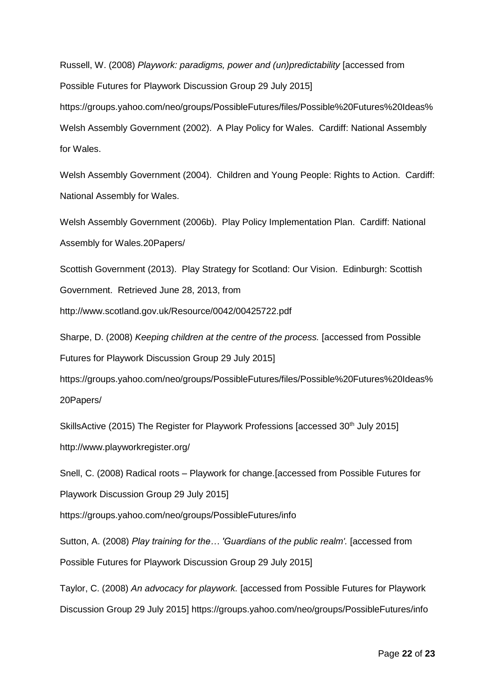Russell, W. (2008) *Playwork: paradigms, power and (un)predictability* [accessed from Possible Futures for Playwork Discussion Group 29 July 2015] https://groups.yahoo.com/neo/groups/PossibleFutures/files/Possible%20Futures%20Ideas% Welsh Assembly Government (2002). A Play Policy for Wales. Cardiff: National Assembly for Wales.

Welsh Assembly Government (2004). Children and Young People: Rights to Action. Cardiff: National Assembly for Wales.

Welsh Assembly Government (2006b). Play Policy Implementation Plan. Cardiff: National Assembly for Wales.20Papers/

Scottish Government (2013). Play Strategy for Scotland: Our Vision. Edinburgh: Scottish Government. Retrieved June 28, 2013, from

http://www.scotland.gov.uk/Resource/0042/00425722.pdf

Sharpe, D. (2008) *Keeping children at the centre of the process.* [accessed from Possible Futures for Playwork Discussion Group 29 July 2015]

https://groups.yahoo.com/neo/groups/PossibleFutures/files/Possible%20Futures%20Ideas% 20Papers/

SkillsActive (2015) The Register for Playwork Professions [accessed  $30<sup>th</sup>$  July 2015] http://www.playworkregister.org/

Snell, C. (2008) Radical roots – Playwork for change.[accessed from Possible Futures for

Playwork Discussion Group 29 July 2015]

https://groups.yahoo.com/neo/groups/PossibleFutures/info

Sutton, A. (2008) *Play training for the... 'Guardians of the public realm'*. [accessed from Possible Futures for Playwork Discussion Group 29 July 2015]

Taylor, C. (2008) *An advocacy for playwork.* [accessed from Possible Futures for Playwork Discussion Group 29 July 2015] https://groups.yahoo.com/neo/groups/PossibleFutures/info